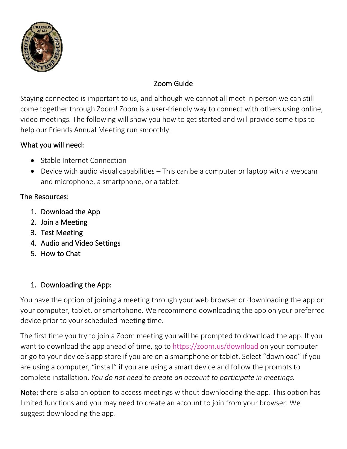

# Zoom Guide

Staying connected is important to us, and although we cannot all meet in person we can still come together through Zoom! Zoom is a user-friendly way to connect with others using online, video meetings. The following will show you how to get started and will provide some tips to help our Friends Annual Meeting run smoothly.

## What you will need:

- Stable Internet Connection
- Device with audio visual capabilities This can be a computer or laptop with a webcam and microphone, a smartphone, or a tablet.

## The Resources:

- 1. Download the App
- 2. Join a Meeting
- 3. Test Meeting
- 4. Audio and Video Settings
- 5. How to Chat

# 1. Downloading the App:

You have the option of joining a meeting through your web browser or downloading the app on your computer, tablet, or smartphone. We recommend downloading the app on your preferred device prior to your scheduled meeting time.

The first time you try to join a Zoom meeting you will be prompted to download the app. If you want to download the app ahead of time, go to<https://zoom.us/download> on your computer or go to your device's app store if you are on a smartphone or tablet. Select "download" if you are using a computer, "install" if you are using a smart device and follow the prompts to complete installation. *You do not need to create an account to participate in meetings.*

Note: there is also an option to access meetings without downloading the app. This option has limited functions and you may need to create an account to join from your browser. We suggest downloading the app.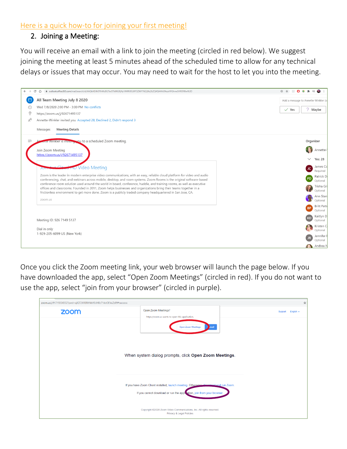#### [Here is a quick how-to for joining your first meeting!](https://www.youtube.com/watch?v=https://www.youtube.com/watch?v=9isp3qPeQ0E9isp3qPeQ0E)

#### 2. Joining a Meeting:

You will receive an email with a link to join the meeting (circled in red below). We suggest joining the meeting at least 5 minutes ahead of the scheduled time to allow for any technical delays or issues that may occur. You may need to wait for the host to let you into the meeting.

| $\leftarrow$   | a outlook.office365.com/mail/search/id/AAQkADJhOTIhMzBILTkxOTktNGRjNy1iMWU5LWY3ZWY1N2JjNzZkZQAQAAYsOfezxHFGhnwSHREF86w%3D<br>C<br>$\curvearrowleft$                                                                                             | $\mathcal{L}$<br>$\equiv$<br>⊕ ☆<br>o |  |
|----------------|-------------------------------------------------------------------------------------------------------------------------------------------------------------------------------------------------------------------------------------------------|---------------------------------------|--|
| 自              | All Team Meeting July 8 2020                                                                                                                                                                                                                    | Add a message to Annette-Winkler (c   |  |
| $\odot$        | Wed 7/8/2020 2:00 PM - 3:00 PM No conflicts                                                                                                                                                                                                     | 7 Maybe<br>$\checkmark$ Yes           |  |
| $\circledcirc$ | https://zoom.us/j/92671495137                                                                                                                                                                                                                   |                                       |  |
| x              | Annette-Winkler invited you Accepted 28, Declined 2, Didn't respond 3                                                                                                                                                                           |                                       |  |
|                | <b>Meeting Details</b><br>Messages                                                                                                                                                                                                              |                                       |  |
|                | ette Winkler is inviting you to a scheduled Zoom meeting.                                                                                                                                                                                       | Organizer                             |  |
|                | Join Zoom Meeting                                                                                                                                                                                                                               | Annette-                              |  |
|                | https://zoom.us/j/92671495137                                                                                                                                                                                                                   | <b>Yes: 28</b>                        |  |
|                |                                                                                                                                                                                                                                                 | James Co                              |  |
|                | <b>ur Clead TID Video Meeting</b><br>JOIT-                                                                                                                                                                                                      | JC.<br>Required                       |  |
|                | Zoom is the leader in modern enterprise video communications, with an easy, reliable cloud platform for video and audio<br>conferencing, chat, and webinars across mobile, desktop, and room systems. Zoom Rooms is the original software-based | Patrick D<br>PD                       |  |
|                | conference room solution used around the world in board, conference, huddle, and training rooms, as well as executive                                                                                                                           | Optional<br>Trisha Gr                 |  |
|                | offices and classrooms. Founded in 2011, Zoom helps businesses and organizations bring their teams together in a<br>frictionless environment to get more done. Zoom is a publicly traded company headquartered in San Jose, CA.                 | Optional                              |  |
|                | zoom.us                                                                                                                                                                                                                                         | Ann Stan                              |  |
|                |                                                                                                                                                                                                                                                 | Optional<br><b>Britt Patte</b>        |  |
|                |                                                                                                                                                                                                                                                 | <b>BP</b><br>Optional                 |  |
|                |                                                                                                                                                                                                                                                 | Kaitlyn D<br>KD                       |  |
|                | Meeting ID: 926 7149 5137                                                                                                                                                                                                                       | Optional                              |  |
|                | Dial in only                                                                                                                                                                                                                                    | Kristen C<br>Optional                 |  |
|                | 1-929-205-6099 US (New York)                                                                                                                                                                                                                    | Jennifer I<br>JR.                     |  |
|                |                                                                                                                                                                                                                                                 | Optional                              |  |
|                |                                                                                                                                                                                                                                                 | Andrea N                              |  |

Once you click the Zoom meeting link, your web browser will launch the page below. If you have downloaded the app, select "Open Zoom Meetings" (circled in red). If you do not want to use the app, select "join from your browser" (circled in purple).

| zoom.us/j/91719354352?pwd=ajlQT2JiRERXNkV0UHBzT1doOEVuZz09#success |                                                                                                                                                                                                                                                                    |                                  |  |  |  |
|--------------------------------------------------------------------|--------------------------------------------------------------------------------------------------------------------------------------------------------------------------------------------------------------------------------------------------------------------|----------------------------------|--|--|--|
| zoom                                                               | Open Zoom Meetings?<br>https://zoom.us wants to open this application.<br><b>Open Zoom Meetings</b><br>incel<br>When system dialog prompts, click Open Zoom Meetings.                                                                                              | English $\sim$<br><b>Support</b> |  |  |  |
|                                                                    | If you have Zoom Client installed, launch meeting. Otherwise developed and run Zoom.<br>If you cannot download or run the application, join from your browser.<br>Copyright @2020 Zoom Video Communications, Inc. All rights reserved.<br>Privacy & Legal Policies |                                  |  |  |  |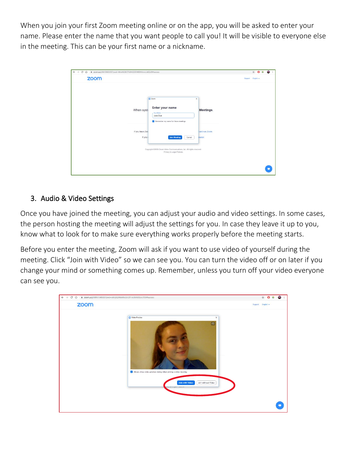When you join your first Zoom meeting online or on the app, you will be asked to enter your name. Please enter the name that you want people to call you! It will be visible to everyone else in the meeting. This can be your first name or a nickname.

| 200m.us/j/96159693055?pwd=MkIwNCtBOTNJMGZGRXREWWxncUd6Zz09#success<br>c<br>⇧ |                                                                                                  |                | ☆ ◎ ◎<br>G      |
|------------------------------------------------------------------------------|--------------------------------------------------------------------------------------------------|----------------|-----------------|
| zoom                                                                         |                                                                                                  |                | Support English |
|                                                                              | C Zoom<br>$\times$                                                                               |                |                 |
| When syst                                                                    | Enter your name<br><b>Your Name</b><br>Jane Doe                                                  | Meetings.      |                 |
| If you have Zoo                                                              | Remember my name for future meetings                                                             | land run Zoom. |                 |
| If you a                                                                     | Cancel<br><b>Join Meeting</b>                                                                    | <b>owser</b>   |                 |
|                                                                              | Copyright @2020 Zoom Video Communications, Inc. All rights reserved.<br>Privacy & Legal Policies |                |                 |
|                                                                              |                                                                                                  |                |                 |

### 3. Audio & Video Settings

Once you have joined the meeting, you can adjust your audio and video settings. In some cases, the person hosting the meeting will adjust the settings for you. In case they leave it up to you, know what to look for to make sure everything works properly before the meeting starts.

Before you enter the meeting, Zoom will ask if you want to use video of yourself during the meeting. Click "Join with Video" so we can see you. You can turn the video off or on later if you change your mind or something comes up. Remember, unless you turn off your video everyone can see you.

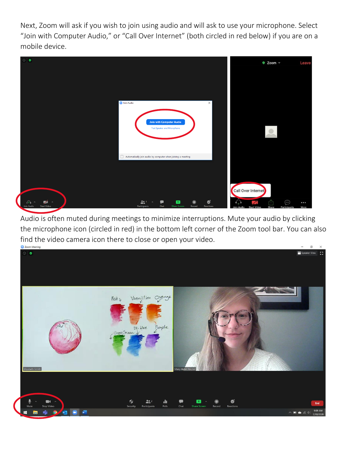Next, Zoom will ask if you wish to join using audio and will ask to use your microphone. Select "Join with Computer Audio," or "Call Over Internet" (both circled in red below) if you are on a mobile device.



Audio is often muted during meetings to minimize interruptions. Mute your audio by clicking the microphone icon (circled in red) in the bottom left corner of the Zoom tool bar. You can also find the video camera icon there to close or open your video.